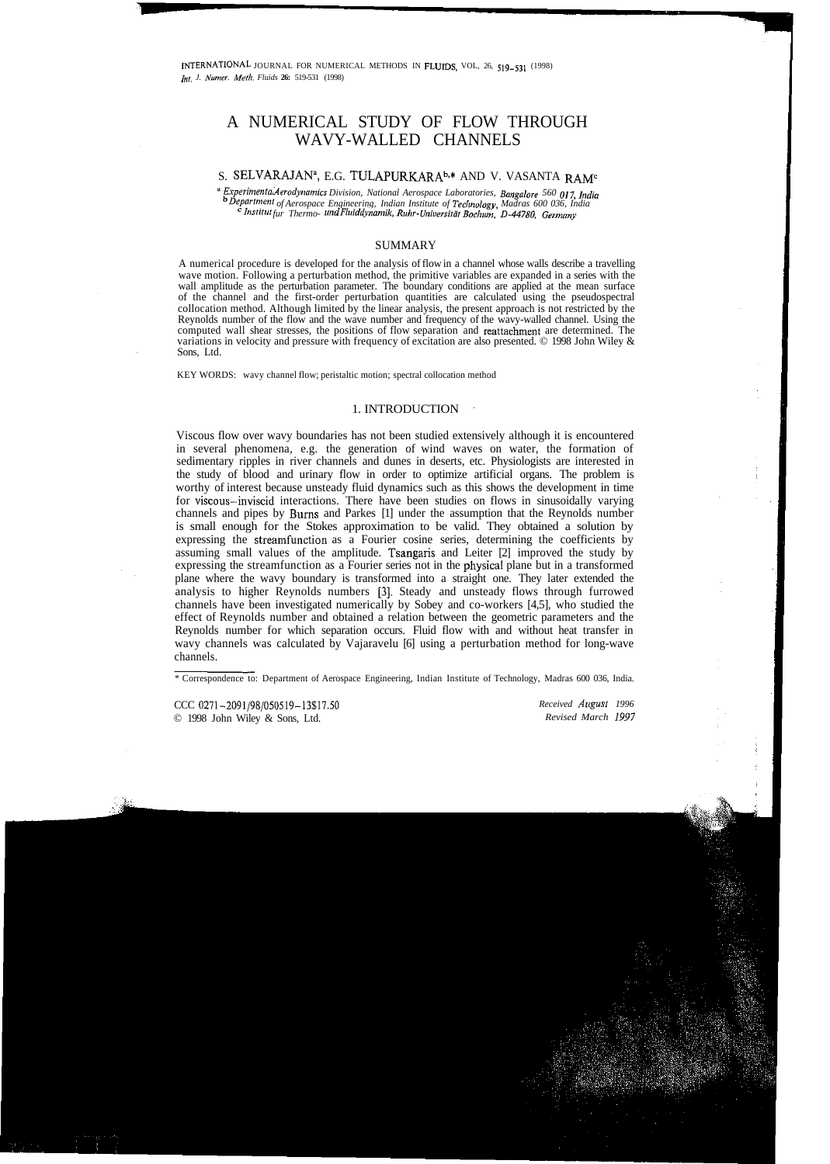# A NUMERICAL STUDY OF FLOW THROUGH WAVY-WALLED CHANNELS

## S. SELVARAJAN<sup>a</sup>, E.G. TULAPURKARA<sup>b,\*</sup> AND V. VASANTA RAM<sup>c</sup>

*''Experimental Aerodynamics Division, National Aerospace Laboratories, Bangalore 560 017, India* b  *Department of Aerospace Engineering, Indian Institute of Technologv, Madras 600 036, India c Institut fur Thermo- und Fluiddynamik, Ruhr-Universitat Bochum, D-44780, Germanv*

#### **SUMMARY**

A numerical procedure is developed for the analysis of flow in a channel whose walls describe a travelling wave motion. Following a perturbation method, the primitive variables are expanded in a series with the wall amplitude as the perturbation parameter. The boundary conditions are applied at the mean surface of the channel and the first-order perturbation quantities are calculated using the pseudospectral collocation method. Although limited by the linear analysis, the present approach is not restricted by the Reynolds number of the flow and the wave number and frequency of the wavy-walled channel. Using the computed wall shear stresses, the positions of flow separation and reattachment are determined. The variations in velocity and pressure with frequency of excitation are also presented. © 1998 John Wiley & Sons, Ltd.

KEY WORDS: wavy channel flow; peristaltic motion; spectral collocation method

### 1. INTRODUCTION

Viscous flow over wavy boundaries has not been studied extensively although it is encountered in several phenomena, e.g. the generation of wind waves on water, the formation of sedimentary ripples in river channels and dunes in deserts, etc. Physiologists are interested in the study of blood and urinary flow in order to optimize artificial organs. The problem is worthy of interest because unsteady fluid dynamics such as this shows the development in time for viscous-inviscid interactions. There have been studies on flows in sinusoidally varying channels and pipes by Bums and Parkes [1] under the assumption that the Reynolds number is small enough for the Stokes approximation to be valid. They obtained a solution by expressing the streamfunction as a Fourier cosine series, determining the coefficients by assuming small values of the amplitude. Tsangaris and Leiter [2] improved the study by expressing the streamfunction as a Fourier series not in the physical plane but in a transformed plane where the wavy boundary is transformed into a straight one. They later extended the analysis to higher Reynolds numbers [3]. Steady and unsteady flows through furrowed channels have been investigated numerically by Sobey and co-workers [4,5], who studied the effect of Reynolds number and obtained a relation between the geometric parameters and the Reynolds number for which separation occurs. Fluid flow with and without heat transfer in wavy channels was calculated by Vajaravelu [6] using a perturbation method for long-wave channels.

*Received August 1996 Revised March 1997*

<sup>\*</sup> Correspondence to: Department of Aerospace Engineering, Indian Institute of Technology, Madras 600 036, India.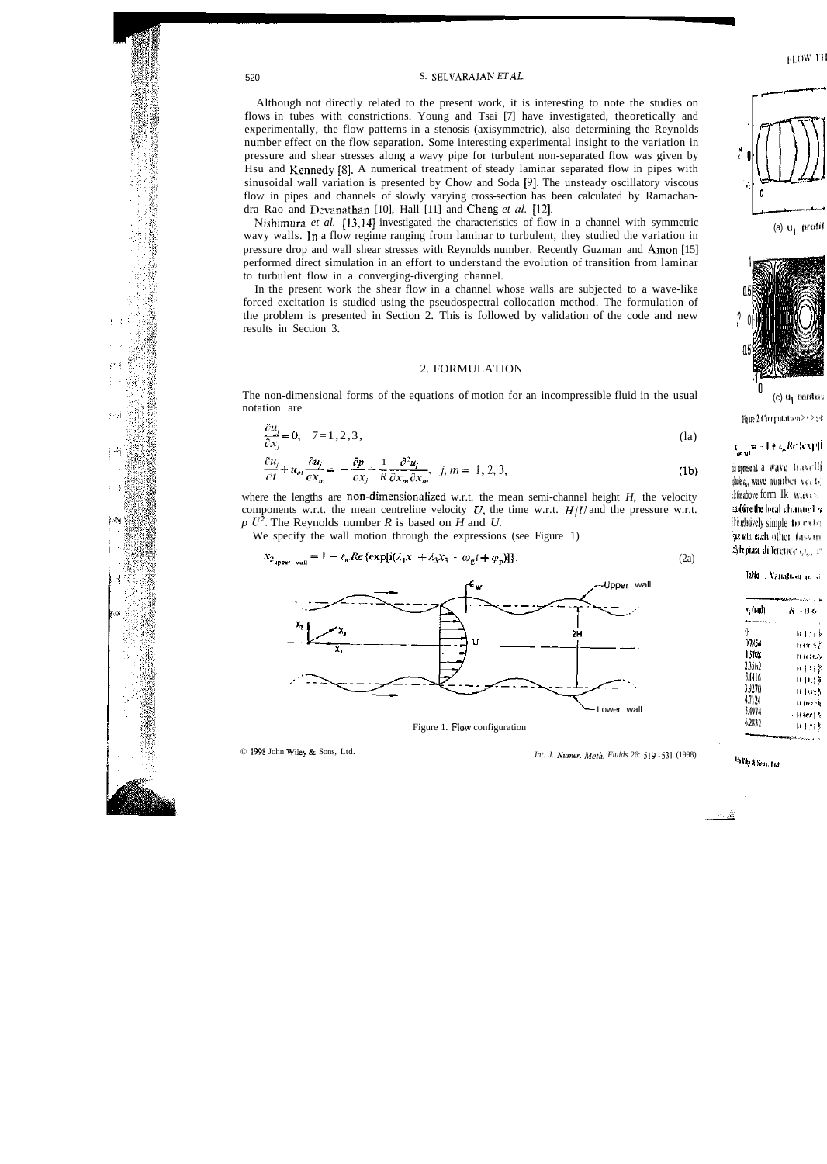#### 520 S. SELVARAJAN *ET AL.*

Although not directly related to the present work, it is interesting to note the studies on flows in tubes with constrictions. Young and Tsai [7] have investigated, theoretically and experimentally, the flow patterns in a stenosis (axisymmetric), also determining the Reynolds number effect on the flow separation. Some interesting experimental insight to the variation in pressure and shear stresses along a wavy pipe for turbulent non-separated flow was given by Hsu and Kennedy [8]. A numerical treatment of steady laminar separated flow in pipes with sinusoidal wall variation is presented by Chow and Soda [9]. The unsteady oscillatory viscous flow in pipes and channels of slowly varying cross-section has been calculated by Ramachandra Rao and Devanathan [10], Hall [11] and Cheng *et al.* [12].

Nishirnura *et al.* [13,14] investigated the characteristics of flow in a channel with symmetric wavy walls. In a flow regime ranging from laminar to turbulent, they studied the variation in pressure drop and wall shear stresses with Reynolds number. Recently Guzman and Amon [15] performed direct simulation in an effort to understand the evolution of transition from laminar to turbulent flow in a converging-diverging channel.

In the present work the shear flow in a channel whose walls are subjected to a wave-like forced excitation is studied using the pseudospectral collocation method. The formulation of the problem is presented in Section 2. This is followed by validation of the code and new results in Section 3.

#### 2. FORMULATION

The non-dimensional forms of the equations of motion for an incompressible fluid in the usual notation are

$$
\frac{\partial u_j}{\partial x_j} = 0, \quad 7 = 1, 2, 3,
$$
 (1a)

$$
\frac{\partial u_j}{\partial t} + u_m \frac{\partial u_j}{\partial x_m} = -\frac{\partial p}{\partial x_j} + \frac{1}{R} \frac{\partial^2 u_j}{\partial x_m \partial x_m}, \quad j, m = 1, 2, 3,
$$
 (1b)

where the lengths are non-dimensionalized w.r.t. the mean semi-channel height *H,* the velocity components w.r.t. the mean centreline velocity  $U$ , the time w.r.t.  $H/U$  and the pressure w.r.t.  $p U^2$ . The Reynolds number *R* is based on *H* and *U*.

We specify the wall motion through the expressions (see Figure 1)

$$
x_{2_{\text{upper wall}}} = 1 - \varepsilon_{\text{w}} Re \left\{ \exp[i(\lambda_1 x_1 + \lambda_3 x_3 - \omega_{\text{g}} t + \varphi_{\text{p}})] \right\},\tag{2a}
$$



Figure 1. Flow configuration

 $\sim$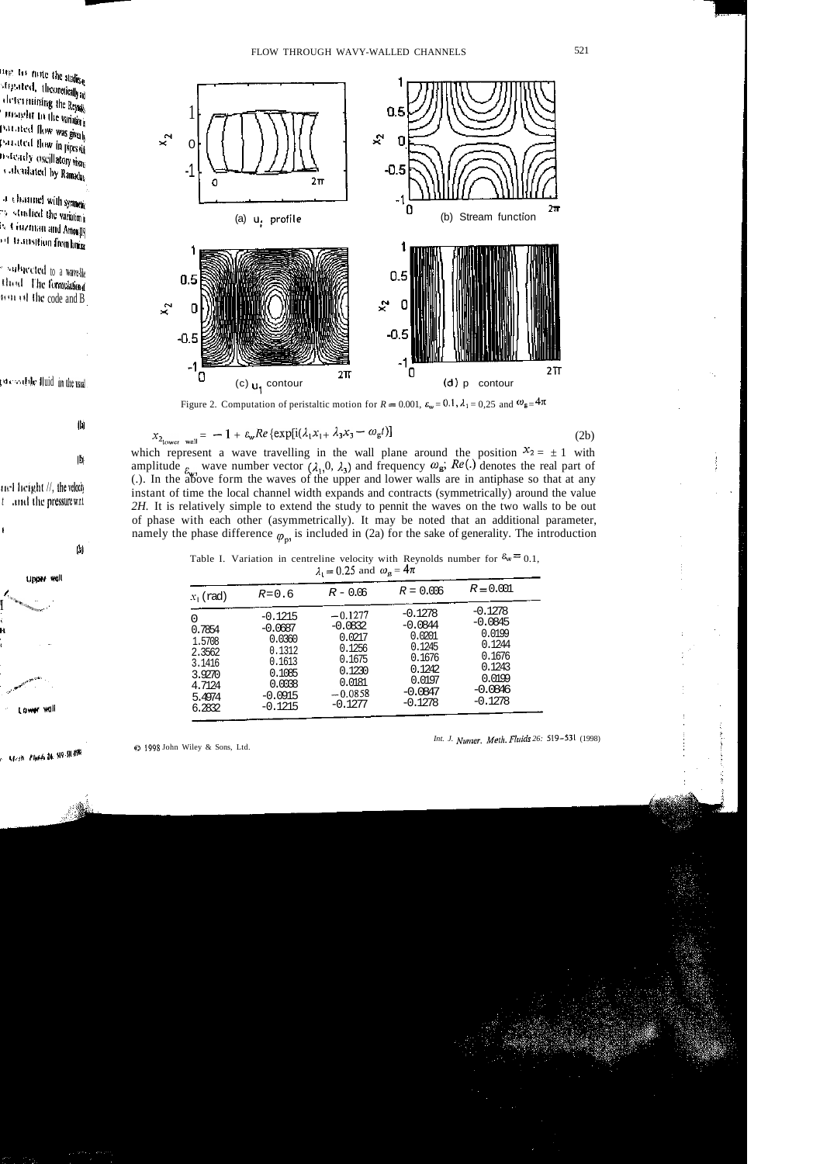

Figure 2. Computation of peristaltic motion for  $R = 0.001$ ,  $\varepsilon_w = 0.1$ ,  $\lambda_1 = 0.25$  and  $\omega_g = 4\pi$ 

$$
x_{2_{\text{lower}} \text{wall}} = -1 + \varepsilon_{\text{w}} Re \left\{ \exp[i(\lambda_1 x_{1+} \lambda_3 x_3 - \omega_{\text{g}} t)] \right\} \tag{2b}
$$

which represent a wave travelling in the wall plane around the position  $x_2 = \pm 1$  with amplitude  $\epsilon_{k}$  wave number vector  $(\lambda_1, 0, \lambda_3)$  and frequency  $\omega_{\mathbf{g}}$ ;  $Re(.)$  denotes the real part of (.). In the above form the waves of the upper and lower walls are in antiphase so that at any instant of time the local channel width expands and contracts (symmetrically) around the value *2H.* It is relatively simple to extend the study to pennit the waves on the two walls to be out of phase with each other (asymmetrically). It may be noted that an additional parameter, namely the phase difference  $\varphi_n$  is included in (2a) for the sake of generality. The introduction

| $R = 0.001$<br>$R = 0.006$<br>$R - 0.06$<br>$R = 0.6$<br>$x_1$ (rad)<br>$-0.1278$<br>$-0.1278$<br>$-0.1277$<br>$-0.1215$<br>O<br>$-0.0845$<br>$-0.0844$<br>$-0.0832$<br>$-0.0687$<br>0.7854<br>0.0199<br>0.0201<br>0.0217<br>0.0360<br>1.5708<br>0.1244<br>0.1245<br>0.1256<br>0.1312<br>2.3562<br>0.1676<br>0.1676<br>0.1675<br>0.1613<br>3.1416<br>0.1243<br>0.1242<br>0.1230<br>0.1085<br>3.9270<br>0.0199<br>0.0197<br>0.0181<br>0.0038<br>4.7124<br>$-0.0846$<br>$-0.0847$<br>$-0.0858$<br>$-0.0915$<br>5.4974<br>$-0.1278$<br>$-0.1278$<br>$-0.1277$<br>$-0.1215$<br>6.2832 | <br>ж |  |  |  |  |  |
|-----------------------------------------------------------------------------------------------------------------------------------------------------------------------------------------------------------------------------------------------------------------------------------------------------------------------------------------------------------------------------------------------------------------------------------------------------------------------------------------------------------------------------------------------------------------------------------|-------|--|--|--|--|--|
|                                                                                                                                                                                                                                                                                                                                                                                                                                                                                                                                                                                   |       |  |  |  |  |  |
|                                                                                                                                                                                                                                                                                                                                                                                                                                                                                                                                                                                   |       |  |  |  |  |  |

Table I. Variation in centreline velocity with Reynolds number for  $\delta w = 0.1$ ,  $\lambda_1 = 0.25$  and  $\omega_g = 4\pi$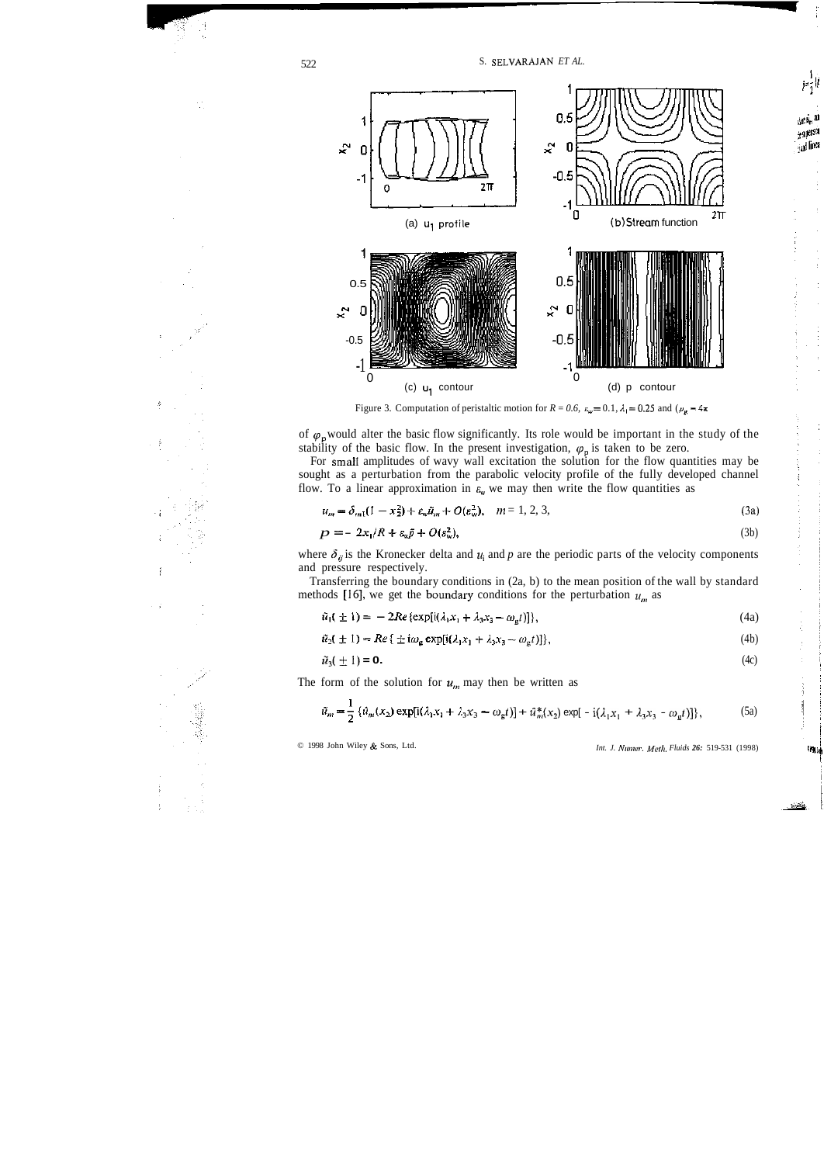

Figure 3. Computation of peristaltic motion for  $R = 0.6$ ,  $\varepsilon_w = 0.1$ ,  $\lambda_1 = 0.25$  and (

of  $\varphi$ <sub>p</sub> would alter the basic flow significantly. Its role would be important in the study of the stability of the basic flow. In the present investigation,  $\varphi_p$  is taken to be zero.

For small amplitudes of wavy wall excitation the solution for the flow quantities may be sought as a perturbation from the parabolic velocity profile of the fully developed channel flow. To a linear approximation in  $\varepsilon$ <sup>*w*</sup> we may then write the flow quantities as

$$
u_m = \delta_{m1}(1 - x_2^2) + \varepsilon_w \tilde{u}_m + O(\varepsilon_w^2), \quad m = 1, 2, 3,
$$
 (3a)

$$
P = -2x_1/R + \varepsilon_w \tilde{p} + O(\varepsilon_w^2),\tag{3b}
$$

where  $\delta_{ij}$  is the Kronecker delta and  $u_i$  and p are the periodic parts of the velocity components and pressure respectively.

Transferring the boundary conditions in (2a, b) to the mean position of the wall by standard methods [16], we get the boundary conditions for the perturbation  $u_m$  as

$$
\tilde{u}_1(\pm 1) = -2Re\{\exp[i(\lambda_1 x_1 + \lambda_3 x_3 - \omega_g t)]\},\tag{4a}
$$

$$
\tilde{u}_2(\pm 1) = Re\{\pm i\omega_g \exp[i(\lambda_1 x_1 + \lambda_3 x_3 - \omega_g t)]\},\tag{4b}
$$

$$
\tilde{u}_3(\pm 1) = \mathbf{0}.\tag{4c}
$$

The form of the solution for  $u_m$  may then be written as

$$
\tilde{u}_m = \frac{1}{2} \left\{ \hat{u}_m(x_2) \exp[i(\lambda_1 x_1 + \lambda_3 x_3 - \omega_g t)] + \hat{u}_m^*(x_2) \exp[-i(\lambda_1 x_1 + \lambda_3 x_3 - \omega_g t)] \right\},\tag{5a}
$$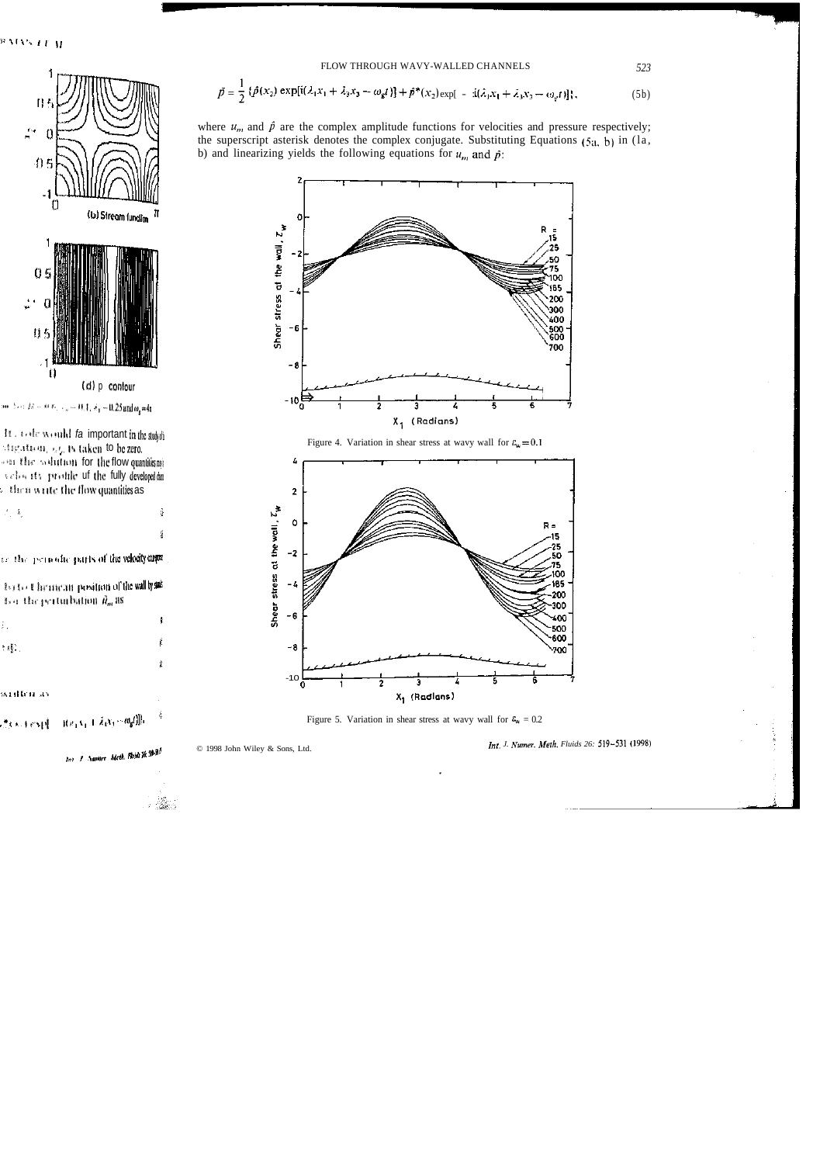$$
\tilde{p} = \frac{1}{2} \left\{ \hat{p}(x_2) \exp[i(\lambda_1 x_1 + \lambda_3 x_3 - \omega_g t)] + \hat{p}^*(x_2) \exp[-i(\lambda_1 x_1 + \lambda_3 x_3 - \omega_g t)] \right\},\tag{5b}
$$

where  $u_m$  and  $\hat{p}$  are the complex amplitude functions for velocities and pressure respectively; the superscript asterisk denotes the complex conjugate. Substituting Equations  $(5a, b)$  in  $(1a, b)$ b) and linearizing yields the following equations for  $u_m$  and  $\hat{p}$ :



Figure 5. Variation in shear stress at wavy wall for  $\epsilon_w = 0.2$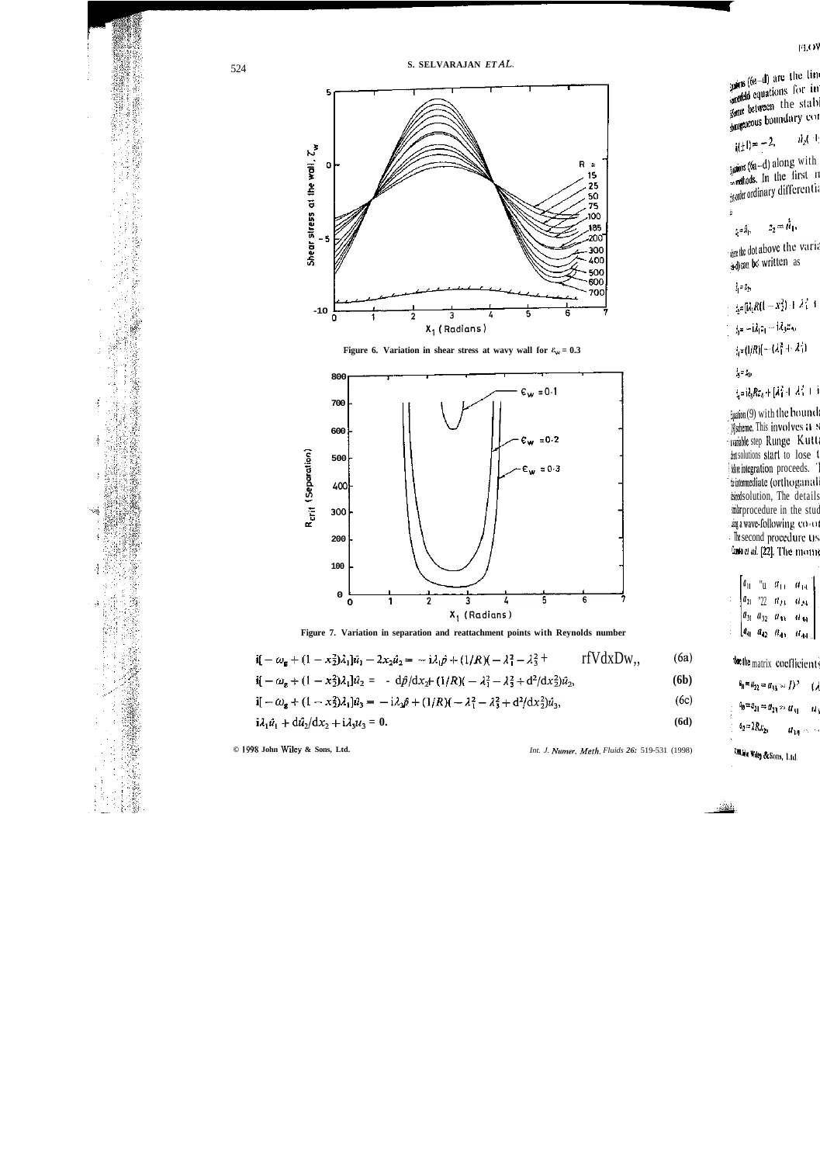

Figure 6. Variation in shear stress at wavy wall for  $\epsilon_w = 0.3$ 



Figure 7. Variation in separation and reattachment points with Reynolds number

$$
i\mathbf{I} - \omega_{\mathbf{g}} + (1 - x_2^2)\lambda_1 \mathbf{I} \hat{\mathbf{u}}_1 - 2x_2 \hat{\mathbf{u}}_2 = -i\lambda_1 \hat{\mathbf{p}} + (1/R)(-\lambda_1^2 - \lambda_3^2 + r \mathbf{f} \mathbf{V} \mathrm{d} \mathbf{x} \mathbf{D} \mathbf{w}_1, \tag{6a}
$$

$$
\mathbf{i} \mathbf{j} - \omega_{\mathbf{g}} + (1 - x_2^2) \lambda_1 \mathbf{l} \hat{u}_2 = -d\hat{p}/dx_2 + (1/R)(-\lambda_1^2 - \lambda_3^2 + d^2/dx_2^2) \hat{u}_2,\tag{6b}
$$

$$
\mathbf{i}[-\omega_{\mathbf{g}} + (1 - x_2^2)\lambda_1]\hat{u}_3 = -i\lambda_2\hat{p} + (1/R)(-\lambda_1^2 - \lambda_3^2 + d^2/dx_2^2)\hat{u}_3,\tag{6c}
$$

$$
i\lambda_1 \hat{u}_1 + d\hat{u}_2/dx_2 + i\lambda_3 u_3 = 0. \tag{6d}
$$

Int. J. Numer, Meth. Fluids 26: 519-531 (1998)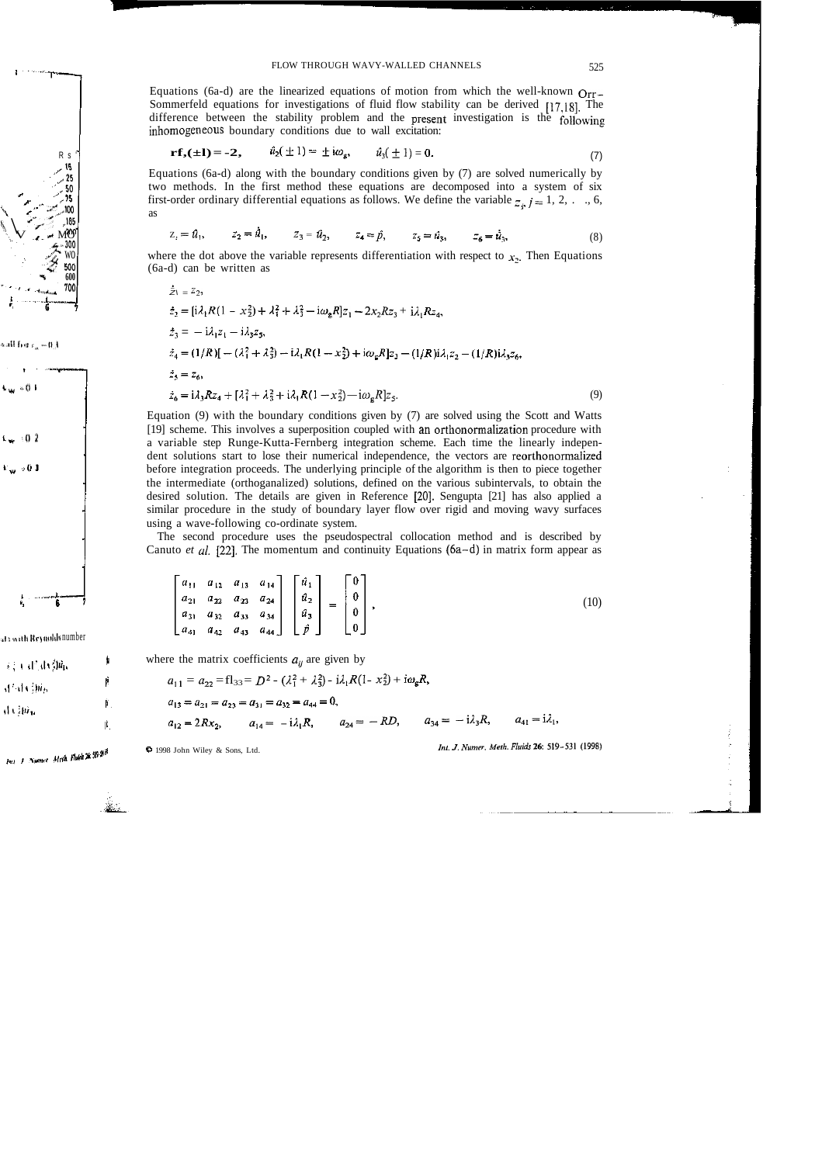Equations (6a-d) are the linearized equations of motion from which the well-known  $Q_{\text{IT}-}$ Sommerfeld equations for investigations of fluid flow stability can be derived [17,18]. The difference between the stability problem and the present investigation is the following inhomogeneous boundary conditions due to wall excitation:

$$
\mathbf{rf}_{2}(\pm 1) = -2, \qquad \hat{u}_{2}(\pm 1) = \pm i\omega_{g}, \qquad \hat{u}_{3}(\pm 1) = 0. \tag{7}
$$

Equations (6a-d) along with the boundary conditions given by (7) are solved numerically by two methods. In the first method these equations are decomposed into a system of six first-order ordinary differential equations as follows. We define the variable  $z_{i,j} = 1, 2, \ldots, 6$ , as

$$
z_2 = \hat{u}_1, \qquad z_2 = \hat{u}_1, \qquad z_3 = \hat{u}_2, \qquad z_4 = \hat{p}, \qquad z_5 = \hat{u}_3, \qquad z_6 = \hat{u}_3, \qquad (8)
$$

where the dot above the variable represents differentiation with respect to  $x_2$ . Then Equations (6a-d) can be written as

$$
\dot{\vec{z}}_1 = \vec{z}_2,
$$
\n
$$
\dot{z}_2 = [i\lambda_1 R(1 - x_2^2) + \lambda_1^2 + \lambda_2^2 - i\omega_g R]z_1 - 2x_2 R z_3 + i\lambda_1 R z_4,
$$
\n
$$
\dot{z}_3 = -i\lambda_1 z_1 - i\lambda_3 z_5,
$$
\n
$$
\dot{z}_4 = (1/R)[-(\lambda_1^2 + \lambda_3^2) - i\lambda_1 R(1 - x_2^2) + i\omega_g R]z_3 - (1/R)i\lambda_1 z_2 - (1/R)i\lambda_3 z_6,
$$
\n
$$
\dot{z}_3 = z_6,
$$
\n
$$
\dot{z}_6 = i\lambda_3 R z_4 + [\lambda_1^2 + \lambda_3^2 + i\lambda_1 R(1 - x_2^2) - i\omega_g R]z_5.
$$
\n(9)

Equation (9) with the boundary conditions given by (7) are solved using the Scott and Watts [19] scheme. This involves a superposition coupled with an orthonormalization procedure with a variable step Runge-Kutta-Fernberg integration scheme. Each time the linearly independent solutions start to lose their numerical independence, the vectors are reorthonormalized before integration proceeds. The underlying principle of the algorithm is then to piece together the intermediate (orthoganalized) solutions, defined on the various subintervals, to obtain the desired solution. The details are given in Reference [20]. Sengupta [21] has also applied a similar procedure in the study of boundary layer flow over rigid and moving wavy surfaces using a wave-following co-ordinate system.

The second procedure uses the pseudospectral collocation method and is described by Canuto *et al.* [22]. The momentum and continuity Equations (6a-d) in matrix form appear as

$$
\begin{bmatrix} a_{11} & a_{12} & a_{13} & a_{14} \ a_{21} & a_{22} & a_{23} & a_{24} \ a_{31} & a_{32} & a_{33} & a_{34} \ a_{41} & a_{42} & a_{43} & a_{44} \end{bmatrix} \begin{bmatrix} \hat{u}_1 \\ \hat{u}_2 \\ \hat{u}_3 \\ \hat{p} \end{bmatrix} = \begin{bmatrix} 0 \\ 0 \\ 0 \\ 0 \end{bmatrix},
$$
\n(10)

where the matrix coefficients  $a_{ij}$  are given by

$$
a_{11} = a_{22} = f1_{33} = D^2 - (\lambda_1^2 + \lambda_3^2) - i\lambda_1 R (1 - x_2^2) + i\omega_8 R,
$$
  
\n
$$
a_{13} = a_{21} = a_{23} = a_{31} = a_{32} = a_{44} = 0,
$$
  
\n
$$
a_{12} = 2Rx_2, \qquad a_{14} = -i\lambda_1 R, \qquad a_{24} = -RD, \qquad a_{34} = -i\lambda_3 R, \qquad a_{41} = i\lambda_1,
$$

1998 John Wiley & Sons, Ltd.

*Int. J. Numer. Meth. Fluids* 26: 519–531 (199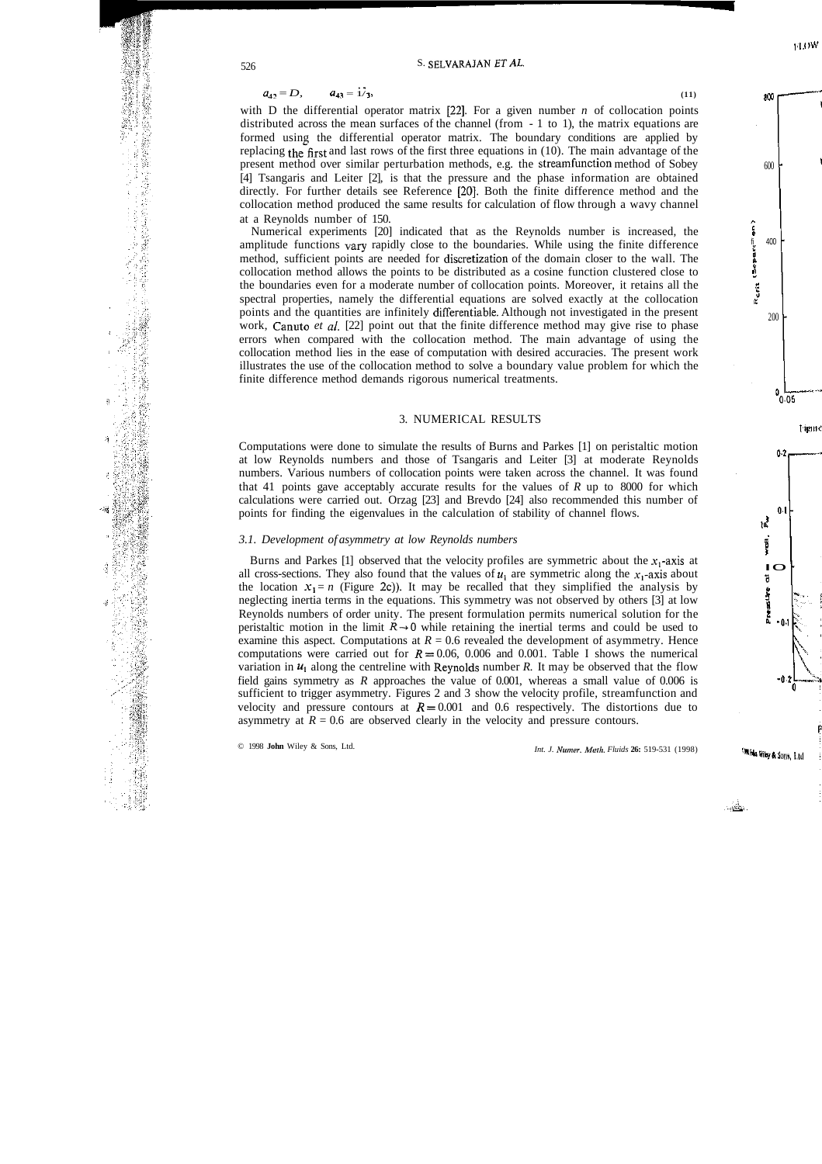$$
a_{42} = D, \qquad a_{43} = 1/3, \tag{11}
$$

with D the differential operator matrix  $[22]$ . For a given number *n* of collocation points distributed across the mean surfaces of the channel (from - 1 to 1), the matrix equations are formed using the differential operator matrix. The boundary conditions are applied by replacing the first and last rows of the first three equations in  $(10)$ . The main advantage of the present method over similar perturbation methods, e.g. the streamfunction method of Sobey [4] Tsangaris and Leiter [2], is that the pressure and the phase information are obtained directly. For further details see Reference [20]. Both the finite difference method and the collocation method produced the same results for calculation of flow through a wavy channel at a Reynolds number of 150.

Numerical experiments [20] indicated that as the Reynolds number is increased, the amplitude functions vary rapidly close to the boundaries. While using the finite difference method, sufficient points are needed for discretization of the domain closer to the wall. The collocation method allows the points to be distributed as a cosine function clustered close to the boundaries even for a moderate number of collocation points. Moreover, it retains all the spectral properties, namely the differential equations are solved exactly at the collocation points and the quantities are infinitely differentiable. Although not investigated in the present work, Canuto *et al.* [22] point out that the finite difference method may give rise to phase errors when compared with the collocation method. The main advantage of using the collocation method lies in the ease of computation with desired accuracies. The present work illustrates the use of the collocation method to solve a boundary value problem for which the finite difference method demands rigorous numerical treatments.

### 3. NUMERICAL RESULTS

Computations were done to simulate the results of Burns and Parkes [1] on peristaltic motion at low Reynolds numbers and those of Tsangaris and Leiter [3] at moderate Reynolds numbers. Various numbers of collocation points were taken across the channel. It was found that 41 points gave acceptably accurate results for the values of *R* up to 8000 for which calculations were carried out. Orzag [23] and Brevdo [24] also recommended this number of points for finding the eigenvalues in the calculation of stability of channel flows.

#### *3.1. Development of asymmetry at low Reynolds numbers*

Burns and Parkes [1] observed that the velocity profiles are symmetric about the  $x_1$ -axis at all cross-sections. They also found that the values of  $u_1$  are symmetric along the  $x_1$ -axis about the location  $x_1 = n$  (Figure 2c)). It may be recalled that they simplified the analysis by neglecting inertia terms in the equations. This symmetry was not observed by others [3] at low Reynolds numbers of order unity. The present formulation permits numerical solution for the peristaltic motion in the limit  $R \rightarrow 0$  while retaining the inertial terms and could be used to examine this aspect. Computations at  $R = 0.6$  revealed the development of asymmetry. Hence computations were carried out for  $R = 0.06$ , 0.006 and 0.001. Table I shows the numerical variation in  $u_1$  along the centreline with Reynolds number R. It may be observed that the flow field gains symmetry as *R* approaches the value of 0.001, whereas a small value of 0.006 is sufficient to trigger asymmetry. Figures 2 and 3 show the velocity profile, streamfunction and velocity and pressure contours at  $R = 0.001$  and 0.6 respectively. The distortions due to asymmetry at  $R = 0.6$  are observed clearly in the velocity and pressure contours.

墲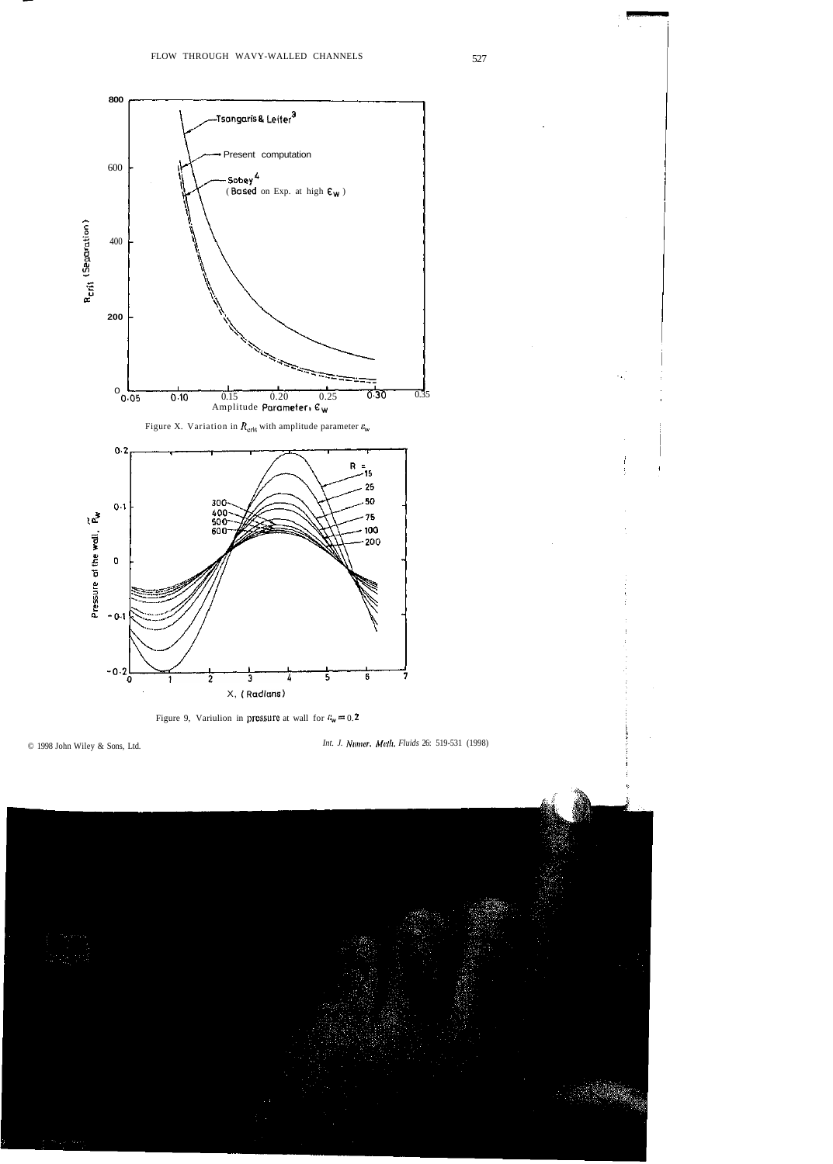

Figure 9, Variulion in pressure at wall for  $c_w = 0.2$ 

*Int. J. Numer. Melh. Fluids* 26: 519-531 (1998)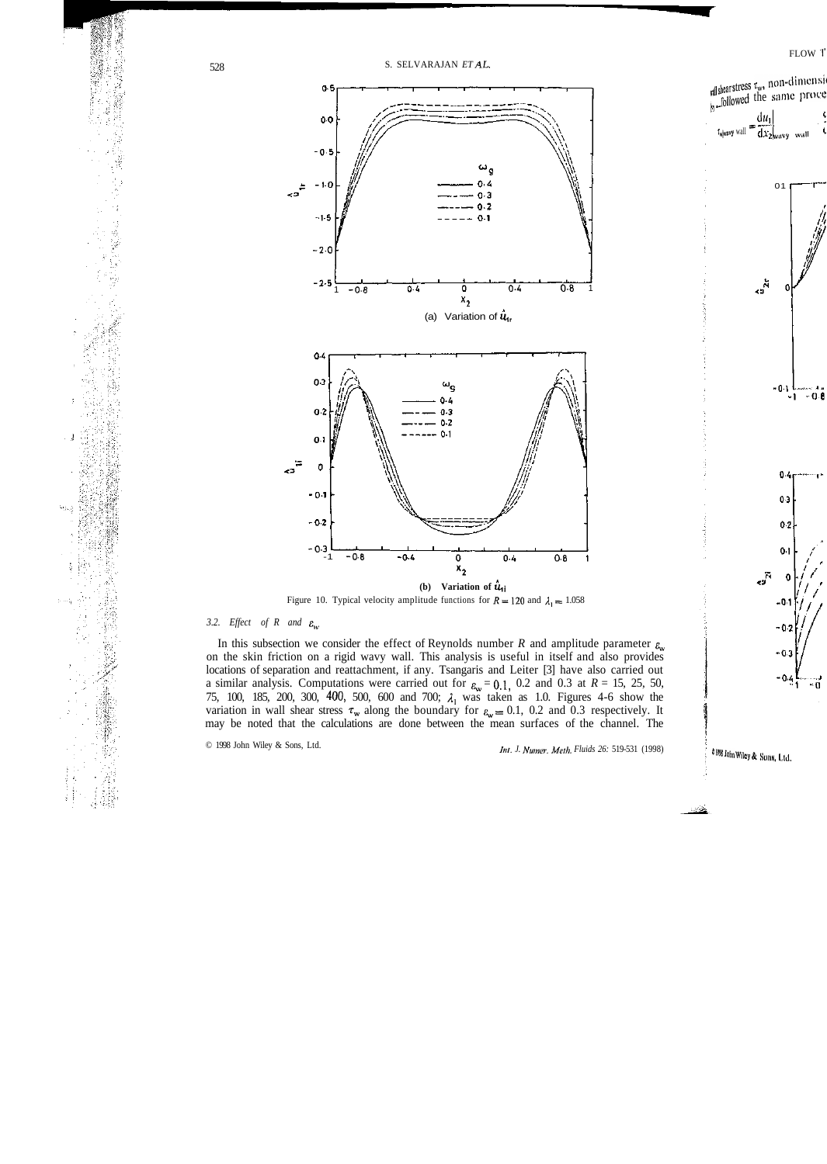

Figure 10. Typical velocity amplitude functions for  $R = 120$  and  $\lambda_1 = 1.058$ 

#### *3.2. Effect of R and*  $\varepsilon_{w}$

In this subsection we consider the effect of Reynolds number *R* and amplitude parameter  $\varepsilon$ <sub>*w*</sub> on the skin friction on a rigid wavy wall. This analysis is useful in itself and also provides locations of separation and reattachment, if any. Tsangaris and Leiter [3] have also carried out a similar analysis. Computations were carried out for  $\varepsilon_w = 0.1$ , 0.2 and 0.3 at  $R = 15$ , 25, 50, 75, 100, 185, 200, 300, 400, 500, 600 and 700;  $\lambda_1$  was taken as 1.0. Figures 4-6 show the variation in wall shear stress  $\tau_w$  along the boundary for  $\varepsilon_w = 0.1$ , 0.2 and 0.3 respectively. It may be noted that the calculations are done between the mean surfaces of the channel. The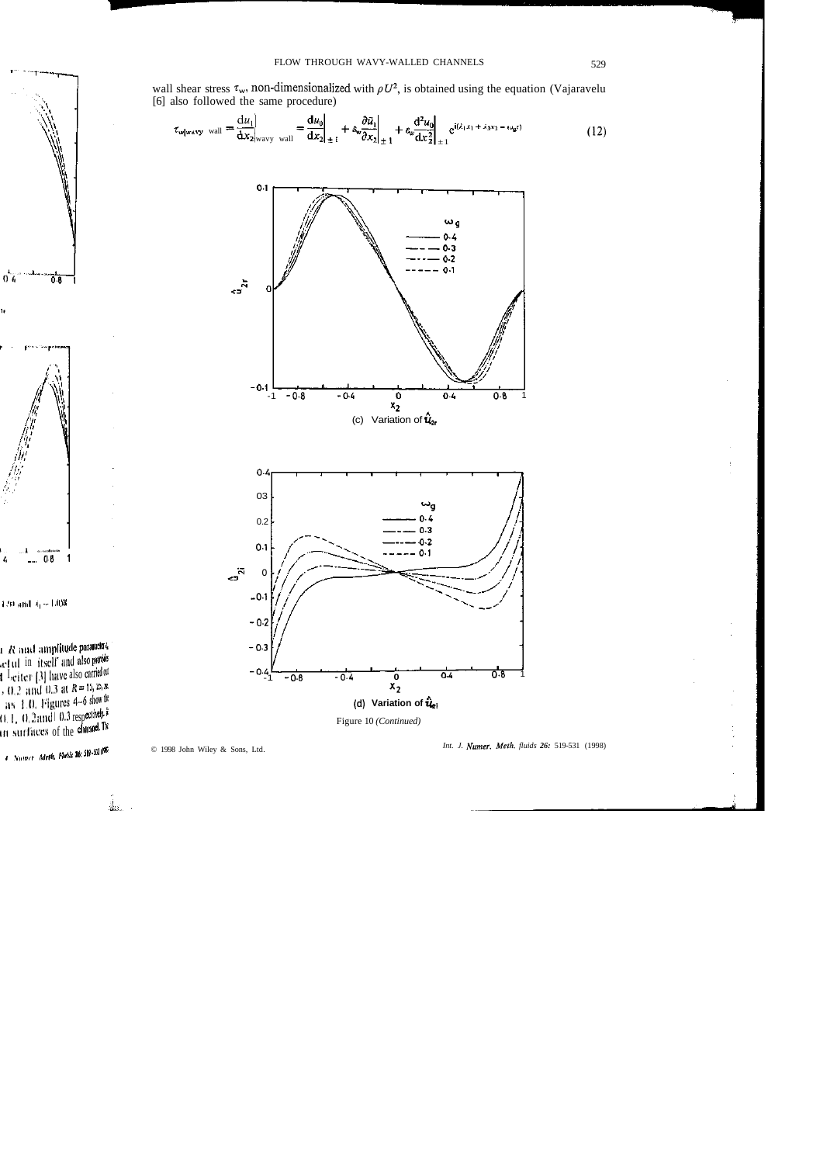wall shear stress  $\tau_w$ , non-dimensionalized with  $\rho U^2$ , is obtained using the equation (Vajaravelu [6] also followed the same procedure)

$$
\tau_{\text{w}|\text{wavy wall}} = \frac{\mathrm{d}u_1}{\mathrm{d}x_2|_{\text{wavy wall}}} = \frac{\mathrm{d}u_0}{\mathrm{d}x_2|_{\pm i}} + \hat{\epsilon}_{\text{w}} \frac{\partial \tilde{u}_1}{\partial x_2|_{\pm 1}} + \hat{\epsilon}_{\text{w}} \frac{\mathrm{d}^2 u_0}{\mathrm{d}x_2^2|_{\pm 1}} e^{i(\lambda_1 x_1 + \lambda_3 x_3 - \omega_{\mathfrak{g}} t)} \tag{12}
$$



Figure 10 (Continued)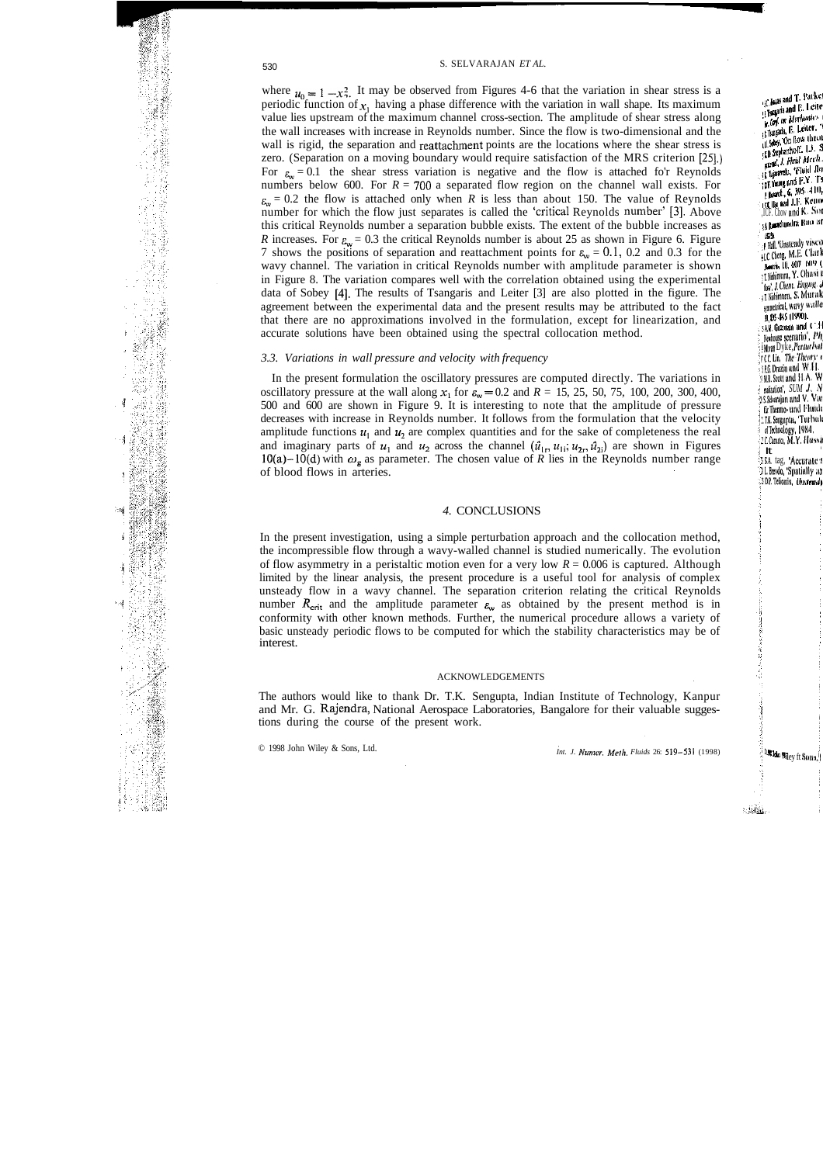where  $u_0 = 1 - x_2^2$ . It may be observed from Figures 4-6 that the variation in shear stress is a periodic function of  $x_1$  having a phase difference with the variation in wall shape. Its maximum value lies upstream of the maximum channel cross-section. The amplitude of shear stress along the wall increases with increase in Reynolds number. Since the flow is two-dimensional and the wall is rigid, the separation and reattachment points are the locations where the shear stress is zero. (Separation on a moving boundary would require satisfaction of the MRS criterion [25].) For  $\varepsilon_w = 0.1$  the shear stress variation is negative and the flow is attached fo'r Reynolds numbers below 600. For *R = 70Q* a separated flow region on the channel wall exists. For  $\epsilon_{\rm w}$  = 0.2 the flow is attached only when *R* is less than about 150. The value of Reynolds number for which the flow just separates is called the 'critical Reynolds number' [3]. Above this critical Reynolds number a separation bubble exists. The extent of the bubble increases as *R* increases. For  $\varepsilon_{\rm w} = 0.3$  the critical Reynolds number is about 25 as shown in Figure 6. Figure 7 shows the positions of separation and reattachment points for  $\varepsilon_w = 0.1$ , 0.2 and 0.3 for the wavy channel. The variation in critical Reynolds number with amplitude parameter is shown in Figure 8. The variation compares well with the correlation obtained using the experimental data of Sobey [4]. The results of Tsangaris and Leiter [3] are also plotted in the figure. The agreement between the experimental data and the present results may be attributed to the fact that there are no approximations involved in the formulation, except for linearization, and accurate solutions have been obtained using the spectral collocation method.

#### *3.3. Variations in wall pressure and velocity with frequency*

In the present formulation the oscillatory pressures are computed directly. The variations in oscillatory pressure at the wall along  $x_1$  for  $\varepsilon_w = 0.2$  and  $R = 15, 25, 50, 75, 100, 200, 300, 400$ , 500 and 600 are shown in Figure 9. It is interesting to note that the amplitude of pressure decreases with increase in Reynolds number. It follows from the formulation that the velocity amplitude functions  $u_1$  and  $u_2$  are complex quantities and for the sake of completeness the real and imaginary parts of  $u_1$  and  $u_2$  across the channel  $(\hat{u}_1, u_1, u_2, \hat{u}_2)$  are shown in Figures 10(a)-10(d) with  $\omega_g$  as parameter. The chosen value of R lies in the Reynolds number range of blood flows in arteries.

### *4.* CONCLUSIONS

In the present investigation, using a simple perturbation approach and the collocation method, the incompressible flow through a wavy-walled channel is studied numerically. The evolution of flow asymmetry in a peristaltic motion even for a very low *R* = 0.006 is captured. Although limited by the linear analysis, the present procedure is a useful tool for analysis of complex unsteady flow in a wavy channel. The separation criterion relating the critical Reynolds number  $R_{\text{crit}}$  and the amplitude parameter  $\varepsilon_{\text{w}}$  as obtained by the present method is in conformity with other known methods. Further, the numerical procedure allows a variety of basic unsteady periodic flows to be computed for which the stability characteristics may be of interest.

#### ACKNOWLEDGEMENTS

The authors would like to thank Dr. T.K. Sengupta, Indian Institute of Technology, Kanpur and Mr. G. Rajendra, National Aerospace Laboratories, Bangalore for their valuable suggestions during the course of the present work.

「そのこのことは、そのように、そのことに、このことを見るということになっている。そのことに、そのことに、このことに、このことは、そのことになるということを感じている。そのことに、このことは、このことに こうしょう こうしょう